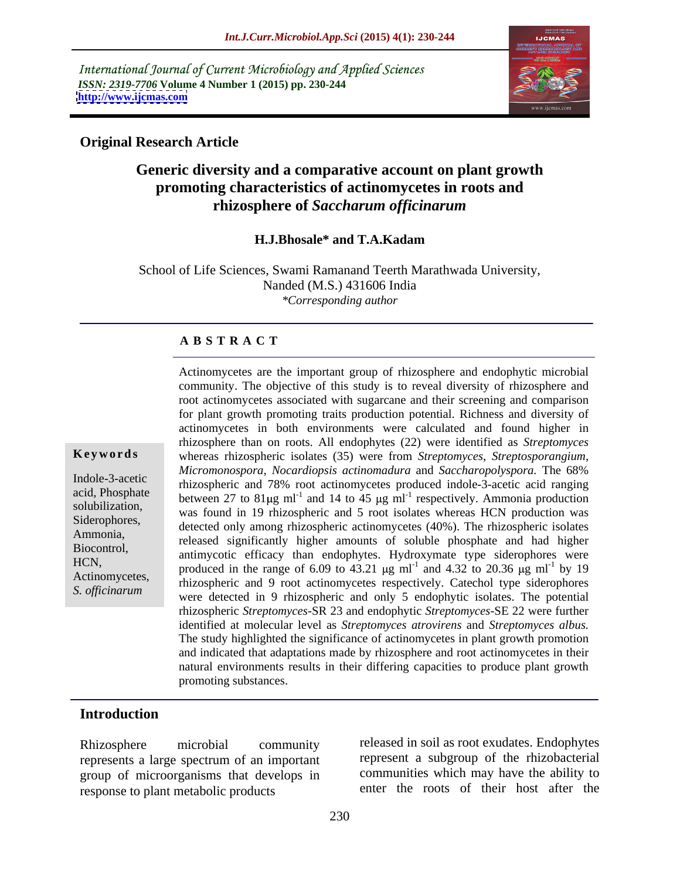International Journal of Current Microbiology and Applied Sciences *ISSN: 2319-7706* **Volume 4 Number 1 (2015) pp. 230-244 <http://www.ijcmas.com>**



### **Original Research Article**

## **Generic diversity and a comparative account on plant growth promoting characteristics of actinomycetes in roots and rhizosphere of** *Saccharum officinarum*

#### **H.J.Bhosale\* and T.A.Kadam**

School of Life Sciences, Swami Ramanand Teerth Marathwada University, Nanded (M.S.) 431606 India *\*Corresponding author*

#### **A B S T R A C T**

*S. officinarum*

Actinomycetes are the important group of rhizosphere and endophytic microbial community. The objective of this study is to reveal diversity of rhizosphere and root actinomycetes associated with sugarcane and their screening and comparison for plant growth promoting traits production potential. Richness and diversity of actinomycetes in both environments were calculated and found higher in rhizosphere than on roots. All endophytes (22) were identified as *Streptomyces*  **Keywords** whereas rhizospheric isolates (35) were from *Streptomyces*, *Streptosporangium*, *Micromonospora, Nocardiopsis actinomadura* and *Saccharopolyspora.* The 68% Indole-3-acetic rhizospheric and 78% root actinomycetes produced indole-3-acetic acid ranging acid, Phosphate between 27 to  $81\mu\text{g m}^{-1}$  and 14 to 45  $\mu\text{g m}^{-1}$  respectively. Ammonia production solubilization, was found in 19 rhizospheric and 5 root isolates whereas HCN production was solubilization, Siderophores,<br>
detected only among rhizospheric actinomycetes (40%). The rhizospheric isolates Ammonia,<br>
released significantly higher amounts of soluble phosphate and had higher Biocontrol, antimycotic efficacy than endophytes. Hydroxymate type siderophores were HCN, produced in the range of 6.09 to 43.21  $\mu$ g ml<sup>-1</sup> and 4.32 to 20.36  $\mu$ g ml<sup>-1</sup> by 19 by 19 Actinomycetes,<br>
Thizospheric and 9 root actinomycetes respectively. Catechol type siderophores were detected in 9 rhizospheric and only 5 endophytic isolates. The potential rhizospheric *Streptomyces*-SR 23 and endophytic *Streptomyces*-SE 22 were further identified at molecular level as *Streptomyces atrovirens* and *Streptomyces albus.* The study highlighted the significance of actinomycetes in plant growth promotion and indicated that adaptations made by rhizosphere and root actinomycetes in their natural environments results in their differing capacities to produce plant growth promoting substances.

### **Introduction**

represents a large spectrum of an important group of microorganisms that develops in response to plant metabolic products

Rhizosphere microbial community released in soil as root exudates. Endophytes represent a subgroup of the rhizobacterial communities which may have the ability to enter the roots of their host after the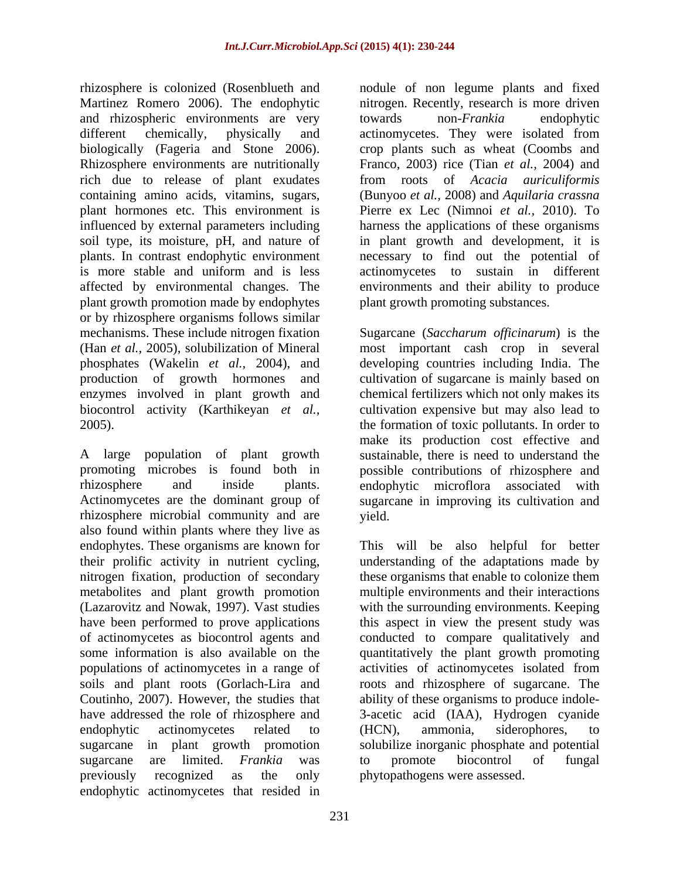rhizosphere is colonized (Rosenblueth and Martinez Romero 2006). The endophytic and rhizospheric environments are very towards non-Frankia endophytic plant hormones etc. This environment is plants. In contrast endophytic environment plant growth promotion made by endophytes or by rhizosphere organisms follows similar

rhizosphere microbial community and are also found within plants where they live as nitrogen fixation, production of secondary metabolites and plant growth promotion sugarcane are limited. *Frankia* was endophytic actinomycetes that resided in

different chemically, physically and actinomycetes. They were isolated from biologically (Fageria and Stone 2006). crop plants such as wheat (Coombs and Rhizosphere environments are nutritionally Franco, 2003) rice (Tian *et al.,* 2004) and rich due to release of plant exudates from roots of *Acacia auriculiformis* containing amino acids, vitamins, sugars, (Bunyoo *et al.,* 2008) and *Aquilaria crassna* influenced by external parameters including harness the applications of these organisms soil type, its moisture, pH, and nature of in plant growth and development, it is is more stable and uniform and is less actinomycetes to sustain in different affected by environmental changes. The environments and their ability to produce nodule of non legume plants and fixed nitrogen. Recently, research is more driven towards non-*Frankia* endophytic Pierre ex Lec (Nimnoi *et al.,* 2010). To necessary to find out the potential of plant growth promoting substances.

mechanisms. These include nitrogen fixation Sugarcane (*Saccharum officinarum*) is the (Han *et al.,* 2005), solubilization of Mineral most important cash crop in several phosphates (Wakelin *et al.,* 2004), and developing countries including India. The production of growth hormones and cultivation of sugarcane is mainly based on enzymes involved in plant growth and chemical fertilizers which not only makes its biocontrol activity (Karthikeyan *et al.,* cultivation expensive but may also lead to 2005). the formation of toxic pollutants. In order to A large population of plant growth sustainable, there is need to understand the promoting microbes is found both in possible contributions of rhizosphere and rhizosphere and inside plants. endophytic microflora associated with Actinomycetes are the dominant group of sugarcane in improving its cultivation and make its production cost effective and yield.

endophytes. These organisms are known for This will be also helpful for better their prolific activity in nutrient cycling, understanding of the adaptations made by (Lazarovitz and Nowak, 1997). Vast studies with the surrounding environments. Keeping have been performed to prove applications this aspect in view the present study was of actinomycetes as biocontrol agents and conducted to compare qualitatively and some information is also available on the quantitatively the plant growth promoting populations of actinomycetes in a range of activities of actinomycetes isolated from soils and plant roots (Gorlach-Lira and croots and rhizosphere of sugarcane. The Coutinho, 2007). However, the studies that ability of these organisms to produce indole have addressed the role of rhizosphere and 3-acetic acid (IAA), Hydrogen cyanide endophytic actinomycetes related to (HCN), ammonia, siderophores, to sugarcane in plant growth promotion solubilize inorganic phosphate and potential previously recognized as the only phytopathogens were assessed.these organisms that enable to colonize them multiple environments and their interactions (HCN), ammonia, siderophores, to to promote biocontrol of fungal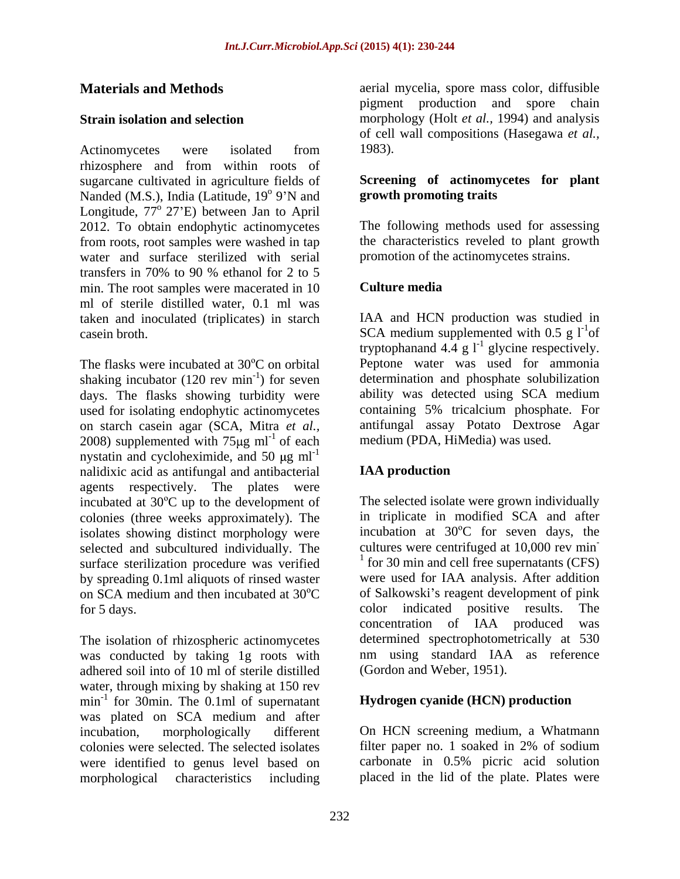Actinomycetes were isolated from 1983). rhizosphere and from within roots of sugarcane cultivated in agriculture fields of Nanded (M.S.), India (Latitude, 19<sup>°</sup> 9'N and Longitude, 77<sup>°</sup> 27'E) between Jan to April 2012. To obtain endophytic actinomycetes from roots, root samples were washed in tap water and surface sterilized with serial transfers in 70% to 90 % ethanol for 2 to 5 min. The root samples were macerated in 10 Culture media ml of sterile distilled water, 0.1 ml was taken and inoculated (triplicates) in starch casein broth. SCA medium supplemented with  $0.5 \text{ g} l^1$  of

The flasks were incubated at  $30^{\circ}$ C on orbital Peptone water was used for ammonia shaking incubator  $(120 \text{ rev min}^{-1})$  for seven days. The flasks showing turbidity were used for isolating endophytic actinomycetes on starch casein agar (SCA, Mitra *et al.,* 2008) supplemented with  $75\mu g$  ml<sup>-1</sup> of each nystatin and cycloheximide, and 50  $\mu$ g ml<sup>-1</sup> nalidixic acid as antifungal and antibacterial **IAA production** agents respectively. The plates were incubated at  $30^{\circ}$ C up to the development of colonies (three weeks approximately). The isolates showing distinct morphology were selected and subcultured individually. The surface sterilization procedure was verified by spreading 0.1ml aliquots of rinsed waster

The isolation of rhizospheric actinomycetes was conducted by taking 1g roots with adhered soil into of 10 ml of sterile distilled water, through mixing by shaking at 150 rev  $min^{-1}$  for 30 $min$ . The 0.1 $ml$  of supernatant for 30min. The 0.1ml of supernatant **Hydrogen cyanide (HCN) production** was plated on SCA medium and after incubation, morphologically different On HCN screening medium, a Whatmann colonies were selected. The selected isolates filter paper no. 1 soaked in 2% of sodium were identified to genus level based on morphological characteristics including placed in the lid of the plate. Plates were

**Materials and Methods a** aerial mycelia, spore mass color, diffusible **Strain isolation and selection** morphology (Holt *et al.,* 1994) and analysis pigment production and spore chain of cell wall compositions (Hasegawa *et al.,* 1983).

#### <sup>o</sup> 9'N and **growth promoting traits** 9'N and **growth promoting traits Screening of actinomycetes for plant**

The following methods used for assessing the characteristics reveled to plant growth promotion of the actinomycetes strains.

### **Culture media**

-1 ) for seven determination and phosphate solubilization of each medium (PDA, HiMedia) was used. IAA and HCN production was studied in of tryptophanand 4.4 g  $l^{-1}$  glycine respectively. glycine respectively. ability was detected using SCA medium containing 5% tricalcium phosphate. For antifungal assay Potato Dextrose Agar

### **IAA production**

on SCA medium and then incubated at  $30^{\circ}$ C of Salkowski's reagent development of pink for 5 days. color indicated positive results. The The selected isolate were grown individually in triplicate in modified SCA and after incubation at  $30^{\circ}$ C for seven days, the cultures were centrifuged at 10,000 rev min **-** Construction of the construction <sup>1</sup> for 30 min and cell free supernatants (CFS) were used for IAA analysis. After addition of Salkowski's reagent development of pink concentration of IAA produced was determined spectrophotometrically at 530 nm using standard IAA as reference (Gordon and Weber, 1951).

filter paper no. 1 soaked in 2% of sodium carbonate in 0.5% picric acid solution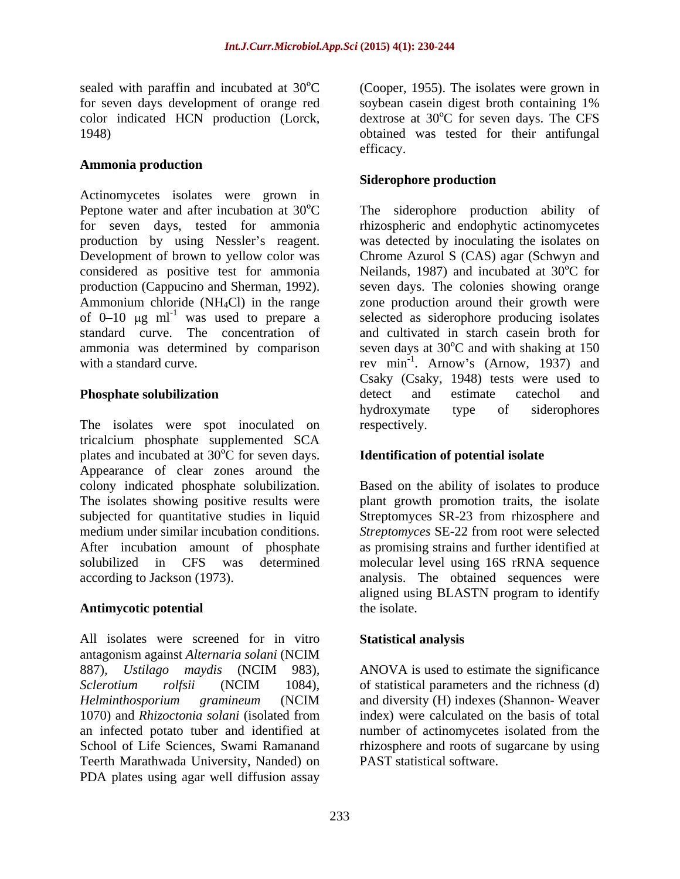color indicated HCN production (Lorck,

### **Ammonia production**

Actinomycetes isolates were grown in Peptone water and after incubation at  $30^{\circ}$ C The siderophore production ability of for seven days, tested for ammonia rhizospheric and endophytic actinomycetes production by using Nessler's reagent. Was detected by inoculating the isolates on Development of brown to yellow color was Chrome Azurol S (CAS) agar (Schwyn and considered as positive test for ammonia  $\blacksquare$  Neilands, 1987) and incubated at 30 $\rm ^{o}C$  for production (Cappucino and Sherman, 1992). seven days. The colonies showing orange Ammonium chloride (NH4Cl) in the range zone production around their growth were of  $0-10$   $\mu$ g ml<sup>-1</sup> was used to prepare a standard curve. The concentration of and cultivated in starch casein broth for ammonia was determined by comparison seven days at  $30^{\circ}$ C and with shaking at 150 with a standard curve. The rev min<sup>-1</sup>. Arnow's (Arnow, 1937) and

The isolates were spot inoculated on respectively. tricalcium phosphate supplemented SCA plates and incubated at  $30^{\circ}$ C for seven days. Appearance of clear zones around the colony indicated phosphate solubilization. The isolates showing positive results were plant growth promotion traits, the isolate subjected for quantitative studies in liquid Streptomyces SR-23 from rhizosphere and medium under similar incubation conditions. *Streptomyces* SE-22 from root were selected After incubation amount of phosphate as promising strains and further identified at solubilized in CFS was determined molecular level using 16S rRNA sequence

### **Antimycotic potential**

All isolates were screened for in vitro Statistical analysis antagonism against *Alternaria solani* (NCIM 887), *Ustilago maydis* (NCIM 983), ANOVA is used to estimate the significance<br>*Sclerotium rolfsii* (NCIM 1084), of statistical parameters and the richness (d)<br>*Helminthosporium gramineum* (NCIM and diversity (H) indexes ( 1070) and *Rhizoctonia solani* (isolated from an infected potato tuber and identified at number of actinomycetes isolated from the School of Life Sciences, Swami Ramanand rhizosphere and roots of sugarcane by using Teerth Marathwada University, Nanded) on PDA plates using agar well diffusion assay

sealed with paraffin and incubated at  $30^{\circ}$ C (Cooper, 1955). The isolates were grown in for seven days development of orange red soybean casein digest broth containing 1% 1948) obtained was tested for their antifungal dextrose at  $30^{\circ}$ C for seven days. The CFS efficacy.

#### **Siderophore production**

was used to prepare a selected as siderophore producing isolates **Phosphate solubilization** entertainment detect and estimate catechol and Csaky (Csaky, 1948) tests were used to detect and estimate catechol and hydroxymate type of siderophores respectively.

### **Identification of potential isolate**

according to Jackson (1973). analysis. The obtained sequences were Based on the ability of isolates to produce aligned using BLASTN program to identify the isolate.

#### **Statistical analysis**

ANOVA is used to estimate the significance of statistical parameters and the richness (d) and diversity (H) indexes (Shannon- Weaver index) were calculated on the basis of total PAST statistical software.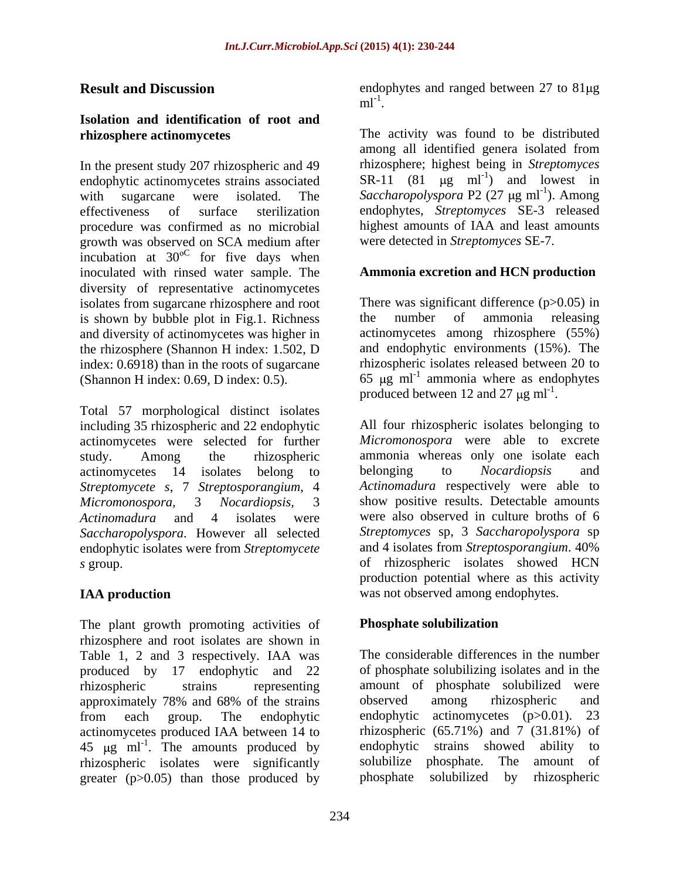# **Isolation and identification of root and**

In the present study 207 rhizospheric and 49 endophytic actinomycetes strains associated procedure was confirmed as no microbial growth was observed on SCA medium after incubation at  $30^{\circ}$  for five days when for five days when inoculated with rinsed water sample. The diversity of representative actinomycetes isolates from sugarcane rhizosphere and root<br>is shown by bubble plot in Fig.1. Richness<br>the number of ammonia releasing is shown by bubble plot in Fig.1. Richness and diversity of actinomycetes was higher in the rhizosphere (Shannon H index: 1.502, D index: 0.6918) than in the roots of sugarcane

Total 57 morphological distinct isolates<br>including 35 rhizospheric and 22 endophytic All four rhizospheric isolates belonging to including 35 rhizospheric and 22 endophytic actinomycetes were selected for further actinomycetes 14 isolates belong to belonging to Nocardiopsis and *Streptomycete s*, 7 *Streptosporangium*, 4 *Saccharopolyspora*. However all selected *Streptomyces* sp, 3 *Saccharopolyspora* sp endophytic isolates were from *Streptomycete* and 4 isolates from *Streptosporangium*. 40% endophytic isolates were from *Streptomycete* 

The plant growth promoting activities of **Phosphate solubilization** rhizosphere and root isolates are shown in Table 1, 2 and 3 respectively. IAA was produced by 17 endophytic and 22 rhizospheric strains representing amount of phosphate solubilized were approximately 78% and 68% of the strains observed among rhizospheric and from each group. The endophytic endophytic actinomycetes (p>0.01). 23 from each group. The endophytic endophytic actinomycetes (p>0.01). 23 actinomycetes produced IAA between 14 to  $\frac{14 \text{ to}}{245 \text{ up m}^{-1}}$ . The amounts produced by  $\frac{14 \text{ to}}{245 \text{ up m}}$  and  $\frac{14 \text{ to}}{245 \text{ up m}}$  $45 \text{ µg} \text{ ml}^{-1}$ . The amounts produced by endophytic strains showed ability to rhizospheric isolates were significantly solubilize phosphate. The amount of  $\alpha$  preater ( $p > 0.05$ ) than those produced by phosphate solubilized by rhizospheric greater  $(p>0.05)$  than those produced by

**Result and Discussion** endophytes and ranged between 27 to 81µg  $ml^{-1}$ .

**rhizosphere actinomycetes** The activity was found to be distributed with sugarcane were isolated. The Saccharopolyspora P2 (27 µg ml<sup>-1</sup>). Among effectiveness of surface sterilization endophytes, *Streptomyces* SE-3 released ml<sup>-1</sup>.<br>The activity was found to be distributed among all identified genera isolated from rhizosphere; highest being in *Streptomyces*  SR-11 (81  $\mu$ g ml<sup>-1</sup>) and lowest in ) and lowest in ). Among highest amounts of IAA and least amounts were detected in *Streptomyces* SE-7.

### **Ammonia excretion and HCN production**

(Shannon H index: 0.69, D index: 0.5).  $\qquad\qquad$  65 µg ml<sup>-1</sup> ammonia where as endophytes There was significant difference  $(p>0.05)$  in the number of ammonia releasing actinomycetes among rhizosphere (55%) and endophytic environments (15%). The rhizospheric isolates released between 20 to produced between 12 and 27  $\mu$ g ml<sup>-1</sup>.

study. Among the rhizospheric ammonia whereas only one isolate each *Micromonospora,* 3 *Nocardiopsis,* 3 show positive results. Detectable amounts *Actinomadura* and 4 isolates were were also observed in culture broths of 6 *s* group. of rhizospheric isolates showed HCN **IAA production** was not observed among endophytes. produced between 12 and 27  $\mu$ g ml<sup>-1</sup>.<br>All four rhizospheric isolates belonging to *Micromonospora* were able to excrete belonging to *Nocardiopsis* and *Actinomadura* respectively were able to *Streptomyces* sp, 3 *Saccharopolyspora* sp and 4 isolates from *Streptosporangium*. 40% production potential where as this activity

### **Phosphate solubilization**

The considerable differences in the number of phosphate solubilizing isolates and in the observed among rhizospheric and endophytic actinomycetes (p>0.01). 23 rhizospheric (65.71%) and 7 (31.81%) of endophytic strains showed ability to solubilize phosphate. The amount of phosphate solubilized by rhizospheric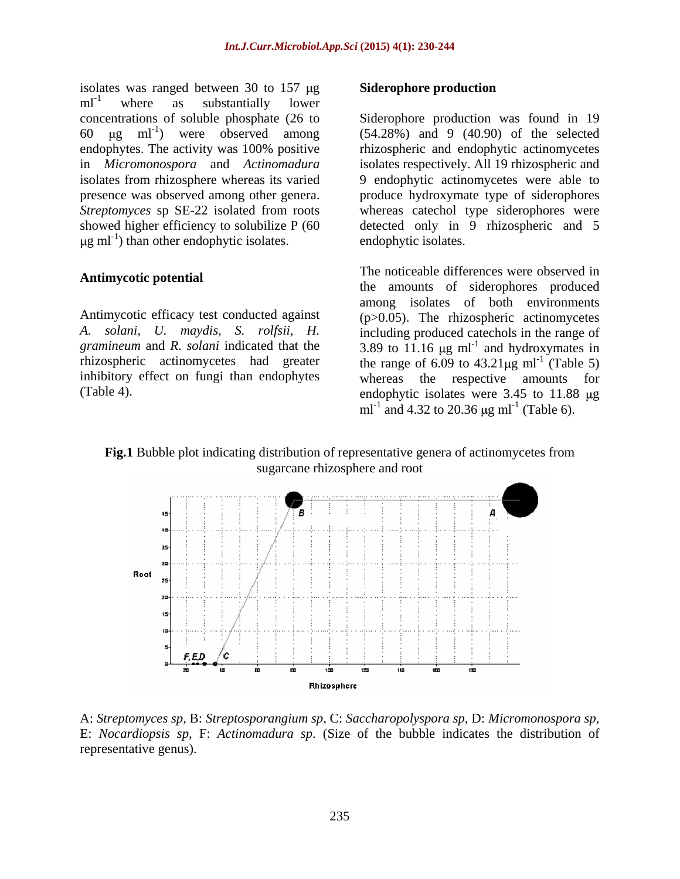isolates was ranged between 30 to  $157 \mu g$  Siderophore production ml<sup>-1</sup> where as substantially lower where as substantially lower 60  $\mu$ g ml<sup>-1</sup>) were observed among in *Micromonospora* and *Actinomadura* 

#### **Antimycotic potential**

inhibitory effect on fungi than endophytes whereas the respective amounts for

#### **Siderophore production**

concentrations of soluble phosphate (26 to Siderophore production was found in 19 ) were observed among (54.28%) and 9 (40.90) of the selected endophytes. The activity was 100% positive rhizospheric and endophytic actinomycetes isolates from rhizosphere whereas its varied 9 endophytic actinomycetes were able to presence was observed among other genera. produce hydroxymate type of siderophores *Streptomyces* sp SE-22 isolated from roots whereas catechol type siderophores were showed higher efficiency to solubilize P (60 detected only in 9 rhizospheric and 5 g ml<sup>-1</sup>) than other endophytic isolates. endophytic isolates. rhizospheric and endophytic actinomycetes isolates respectively. All 19 rhizospheric and endophytic isolates.

Antimycotic efficacy test conducted against (p>0.05). The rhizospheric actinomycetes *A. solani, U. maydis, S. rolfsii, H.* including produced catechols in the range of *gramineum* and *R. solani* indicated that the  $\frac{3.89 \text{ to } 11.16 \text{ µg m}^{-1}}{1.16 \text{ µg m}^{-1}}$  and hydroxymates in rhizospheric actinomycetes had greater the range of  $6.09$  to  $43.21 \mu g$  ml<sup>-1</sup> (Table 5) (Table 4). endophytic isolates were 3.45 to 11.88 µg The noticeable differences were observed in the amounts of siderophores produced among isolates of both environments and hydroxymates in (Table 5) whereas the respective amounts for ml<sup>-1</sup> and 4.32 to 20.36  $\mu$ g ml<sup>-1</sup> (Table 6). (Table 6).

#### **Fig.1** Bubble plot indicating distribution of representative genera of actinomycetes from sugarcane rhizosphere and root



A: *Streptomyces sp*, B: *Streptosporangium sp*, C: *Saccharopolyspora sp,* D: *Micromonospora sp,*  E: *Nocardiopsis sp*, F: *Actinomadura sp*. (Size of the bubble indicates the distribution of representative genus).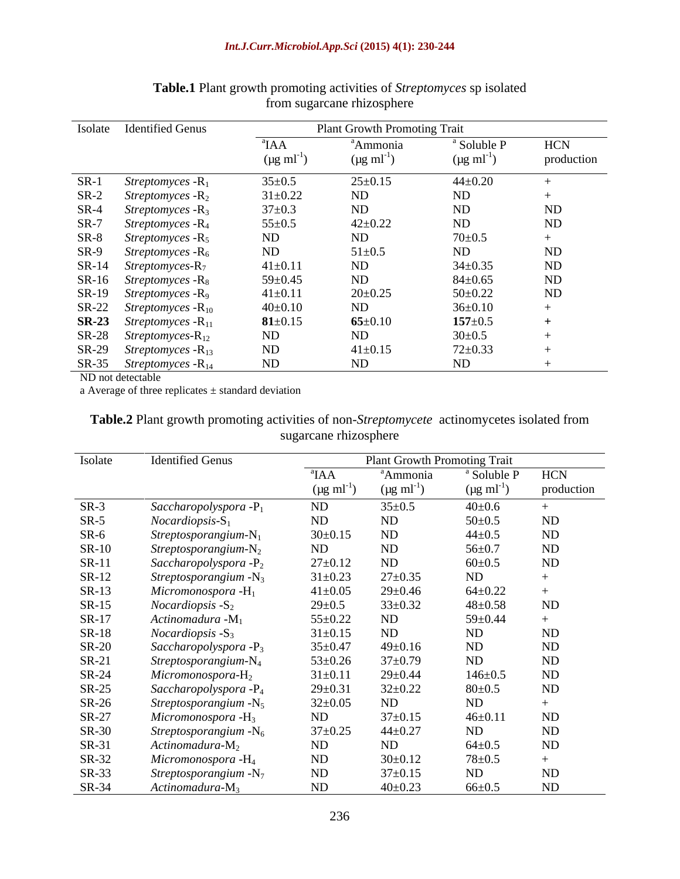|              | Isolate Identified Genus             |                                             | <b>Plant Growth Promoting Trait</b>   |                                                     |                          |
|--------------|--------------------------------------|---------------------------------------------|---------------------------------------|-----------------------------------------------------|--------------------------|
|              |                                      | $\mathbf{A}$ A<br>$(\mu g \text{ ml}^{-1})$ | ªAmmonia<br>$(\mu g \text{ ml}^{-1})$ | <sup>a</sup> Soluble P<br>$(\mu g \text{ ml}^{-1})$ | <b>HCN</b><br>production |
|              | $SR-1$ Streptomyces - $R_1$          | $35 \pm 0.5$                                | $25 \pm 0.15$                         | $44 \pm 0.20$                                       |                          |
|              | $SR-2$ Streptomyces - $R_2$          | $31 \pm 0.22$                               | ND                                    | ND                                                  |                          |
|              | $SR-4$ Streptomyces - $R_3$          | $37 \pm 0.3$                                | ND                                    | ND                                                  | ND                       |
|              | SR-7 Streptomyces - R <sub>4</sub>   | $55 \pm 0.5$                                | $42 \pm 0.22$                         | ND                                                  | ND                       |
|              | $SR-8$ Streptomyces - $R_5$          | ND                                          | ND                                    | $70 \pm 0.5$                                        |                          |
|              | $SR-9$ Streptomyces - $R_6$          | ND                                          | $51 \pm 0.5$                          | ND                                                  | ND                       |
|              | $SR-14$ Streptomyces- $R_7$          | $41 \pm 0.11$                               | ND                                    | $34 \pm 0.35$                                       | ND                       |
|              | $SR-16$ Streptomyces - $R_8$         | $59 \pm 0.45$                               | ND                                    | $84 \pm 0.65$                                       | ND                       |
|              | SR-19 Streptomyces - R <sub>9</sub>  | $41 \pm 0.11$                               | $20 \pm 0.25$                         | $50 \pm 0.22$                                       | ND                       |
|              | $SR-22$ Streptomyces - $R_{10}$      | $40\pm0.10$                                 | ND                                    | $36 \pm 0.10$                                       |                          |
|              | <b>SR-23</b> Streptomyces - $R_{11}$ | $81 \pm 0.15$                               | $65 \pm 0.10$                         | $157 \pm 0.5$                                       |                          |
|              | $SR-28$ Streptomyces- $R_{12}$       | ND                                          | ND                                    | $30 \pm 0.5$                                        |                          |
|              | $SR-29$ Streptomyces - $R_{13}$      | ND                                          | $41 \pm 0.15$                         | $72 \pm 0.33$                                       |                          |
|              | $SR-35$ Streptomyces - $R_{14}$      | ND                                          | ND                                    | ND                                                  |                          |
| $\mathbf{v}$ |                                      |                                             |                                       |                                                     |                          |

#### **Table.1** Plant growth promoting activities of *Streptomyces* sp isolated from sugarcane rhizosphere

ND not detectable

a Average of three replicates  $\pm$  standard deviation

| Table.2 Plant growth promoting activities of non-Streptomycete actinomycetes isolated from |  |  |
|--------------------------------------------------------------------------------------------|--|--|
| ാല് സ്ഥാനമാ                                                                                |  |  |

| Isolate      | <b>Identified Genus</b>           |                           | <b>Plant Growth Promoting Trait</b> |                           | the control of the control of the control of the control of the control of the control of<br>the control of the control of the con- |
|--------------|-----------------------------------|---------------------------|-------------------------------------|---------------------------|-------------------------------------------------------------------------------------------------------------------------------------|
|              |                                   | $\mathbf{A}$ A            | <sup>"</sup> Ammonia                | <sup>a</sup> Soluble P    | <b>HCN</b>                                                                                                                          |
|              |                                   | $(\mu g \text{ ml}^{-1})$ | $(\mu g \text{ ml}^{-1})$           | $(\mu g \text{ ml}^{-1})$ | production                                                                                                                          |
| $SR-3$       | Saccharopolyspora - $P_1$         | ND                        | $35 \pm 0.5$                        | $40 \pm 0.6$              |                                                                                                                                     |
| $SR-5$       | $Nocardiopsis-S1$                 | ND                        | ND                                  | $50 \pm 0.5$              | ND                                                                                                                                  |
| $SR-6$       | Streptosporangium- $N_1$          | $30 \pm 0.15$             | ND                                  | $44 \pm 0.5$              | ND                                                                                                                                  |
| $SR-10$      | Streptosporangium- $N_2$          | ND                        | <b>ND</b>                           | $56 \pm 0.7$              | $\rm ND$                                                                                                                            |
| $SR-11$      | Saccharopolyspora $-P_2$          | $27 \pm 0.12$             | ND                                  | $60 \pm 0.5$              | ND                                                                                                                                  |
| $SR-12$      | Streptosporangium $-N_3$          | $31 \pm 0.23$             | $27 \pm 0.35$                       | ND                        |                                                                                                                                     |
| $SR-13$      | Micromonospora - $H_1$            | $41 \pm 0.05$             | $29 \pm 0.46$                       | $64 \pm 0.22$             |                                                                                                                                     |
| $SR-15$      | <i>Nocardiopsis</i> $-S_2$        | $29 \pm 0.5$              | $33 \pm 0.32$                       | $48 \pm 0.58$             | ND                                                                                                                                  |
| $SR-17$      | Actinomadura -M <sub>1</sub>      | $55 \pm 0.22$             | ND                                  | 59±0.44                   |                                                                                                                                     |
| $SR-18$      | <i>Nocardiopsis</i> $-S_3$        | $31 \pm 0.15$             | ND                                  | ND                        | ND                                                                                                                                  |
| <b>SR-20</b> | Saccharopolyspora -P <sub>3</sub> | $35 \pm 0.47$             | $49 \pm 0.16$                       | ND                        | $\rm ND$                                                                                                                            |
| $SR-21$      | Streptosporangium-N <sub>4</sub>  | $53 \pm 0.26$             | $37 \pm 0.79$                       | ND                        | $\rm ND$                                                                                                                            |
| $SR-24$      | $Micromonospora-H2$               | $31 \pm 0.11$             | $29 \pm 0.44$                       | $146 \pm 0.5$             | ND                                                                                                                                  |
| $SR-25$      | Saccharopolyspora $-P_4$          | $29 \pm 0.31$             | $32 \pm 0.22$                       | $80 \pm 0.5$              | ND                                                                                                                                  |
| $SR-26$      | Streptosporangium $-N_5$          | $32 \pm 0.05$             | ND                                  | ND                        |                                                                                                                                     |
| $SR-27$      | Micromonospora $-H_3$             | ND                        | $37 \pm 0.15$                       | $46 \pm 0.11$             | ND                                                                                                                                  |
| SR-30        | Streptosporangium $-N_6$          | $37 \pm 0.25$             | $44 \pm 0.27$                       | ND                        | ND                                                                                                                                  |
| $SR-31$      | Actinomadura- $M_2$               | ND                        | ND                                  | $64 \pm 0.5$              | $\rm ND$                                                                                                                            |
| SR-32        | Micromonospora -H <sub>4</sub>    | ND                        | $30 \pm 0.12$                       | $78 + 0.5$                |                                                                                                                                     |
| $SR-35$      | Streptosporangium $-N_7$          | $\rm ND$                  | $37 \pm 0.15$                       | ND                        | $\rm ND$                                                                                                                            |
| SR-34        | Actinomadura- $M_3$               | $\rm ND$                  | $40 \pm 0.23$                       | $66 \pm 0.5$              | $\rm ND$                                                                                                                            |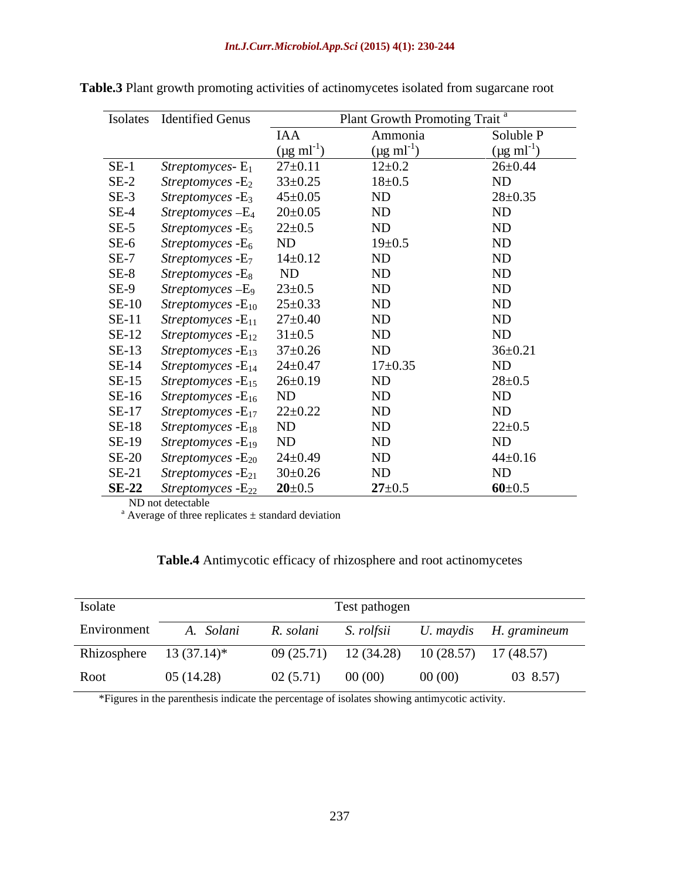|        | Isolates Identified Genus                                |                           | Plant Growth Promoting Trait <sup>a</sup> |                           |
|--------|----------------------------------------------------------|---------------------------|-------------------------------------------|---------------------------|
|        |                                                          | IAA                       | Ammonia                                   | Soluble P                 |
|        |                                                          | $(\mu g \text{ ml}^{-1})$ | $(\mu g \text{ ml}^{-1})$                 | $(\mu g \text{ ml}^{-1})$ |
| $SE-1$ | <i>Streptomyces</i> - $E_1$                              | $27 \pm 0.11$             | $12 \pm 0.2$                              | $26 \pm 0.44$             |
| $SE-2$ | <i>Streptomyces</i> $-E_2$                               | $33 \pm 0.25$             | $18 \pm 0.5$                              | ND                        |
| $SE-3$ | <i>Streptomyces</i> - E <sub>3</sub>                     | $45 \pm 0.05$             | ND                                        | $28 \pm 0.35$             |
| $SE-4$ | $Streptomyces - E4$                                      | $20 \pm 0.05$             | ND                                        | ND                        |
| $SE-5$ | Streptomyces - E <sub>5</sub>                            | $22 \pm 0.5$              | ND                                        | $\rm ND$                  |
| $SE-6$ | <i>Streptomyces</i> - E <sub>6</sub> ND                  |                           | $19 \pm 0.5$                              | $\rm ND$                  |
| $SE-7$ | Streptomyces - E <sub>7</sub>                            | $14 \pm 0.12$             | ND                                        | $\rm ND$                  |
| $SE-8$ | <i>Streptomyces</i> -E <sub>8</sub>                      | ND                        | ND                                        | $\rm ND$                  |
| $SE-9$ | Streptomyces-E <sub>9</sub>                              | $23 \pm 0.5$              | ND                                        | $\rm ND$                  |
|        | SE-10 Streptomyces - $E_{10}$ 25±0.33                    |                           | ND                                        | $\rm ND$                  |
|        | SE-11 Streptomyces - $E_{11}$ 27±0.40                    |                           | ND                                        | $\rm ND$                  |
|        | SE-12 Streptomyces - $E_{12}$ 31±0.5                     |                           | ND                                        | ND                        |
|        | SE-13 Streptomyces - $E_{13}$ 37 $\pm$ 0.26              |                           | ND                                        | $36 \pm 0.21$             |
|        | SE-14 Streptomyces - $E_{14}$ 24±0.47                    |                           | $17 \pm 0.35$                             | ND                        |
|        | SE-15 Streptomyces - $E_{15}$ 26±0.19                    |                           | ND                                        | $28 \pm 0.5$              |
|        | $SE-16$ <i>Streptomyces</i> - $E_{16}$ ND                |                           | ND                                        | ND                        |
|        | SE-17 Streptomyces - $E_{17}$ 22±0.22                    |                           | ND                                        | ND                        |
|        | $SE-18$ Streptomyces - $E_{18}$ ND                       |                           | ND                                        | $22 \pm 0.5$              |
|        | $SE-19$ <i>Streptomyces</i> - $E_{19}$ ND                |                           | ND                                        | ND                        |
|        | SE-20 Streptomyces - $E_{20}$ 24±0.49                    |                           | ND                                        | $44 \pm 0.16$             |
|        | SE-21 Streptomyces - $E_{21}$ 30±0.26                    |                           | ND                                        | ND                        |
|        | <b>SE-22</b> Streptomyces - $E_{22}$ <b>20</b> $\pm$ 0.5 |                           | $27 \pm 0.5$                              | $60 \pm 0.5$              |

**Table.3** Plant growth promoting activities of actinomycetes isolated from sugarcane root

ND not detectable

 $^{\circ}$  Average of three replicates  $\pm$  standard deviation

| <b>Table.4</b> Antimycotic efficacy of rhizosphere and root actinomycetes |  |  |  |  |  |
|---------------------------------------------------------------------------|--|--|--|--|--|
|                                                                           |  |  |  |  |  |

| Isolate                   |            |                    | Test pathogen |        |                                              |
|---------------------------|------------|--------------------|---------------|--------|----------------------------------------------|
| Environment               | A. Solani  | R. solani          | S. rolfsii    |        | U. maydis H. gramineum                       |
| Rhizosphere $13(37.14)^*$ |            |                    |               |        | $09(25.71)$ 12 (34.28) 10 (28.57) 17 (48.57) |
| Root                      | 05 (14.28) | $02(5.71)$ 00 (00) |               | 00(00) | 03 8.57)                                     |

\*Figures in the parenthesis indicate the percentage of isolates showing antimycotic activity.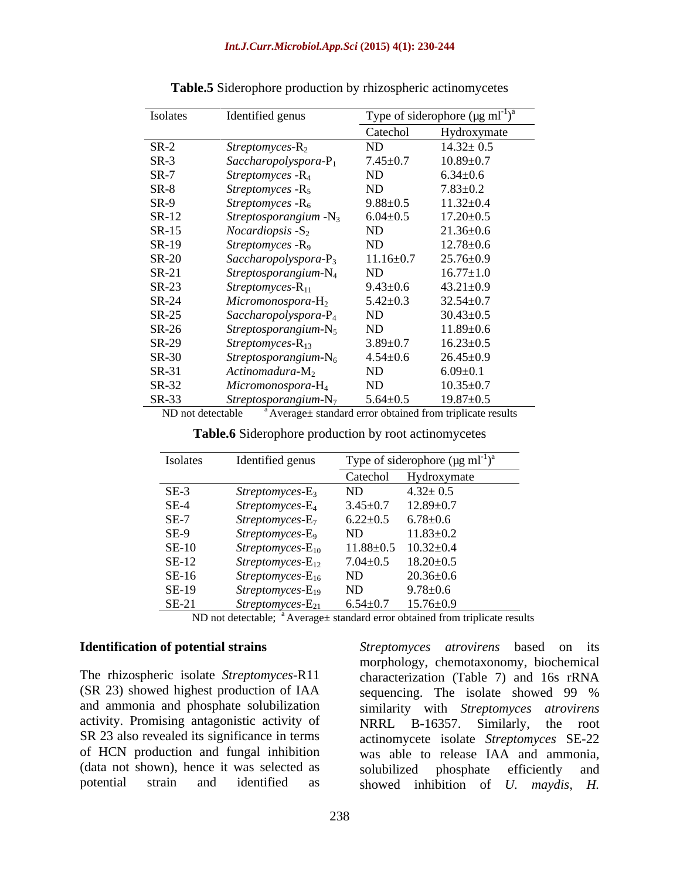| Isolates     | Identified genus                     |                 | Type of siderophore ( $\mu$ g ml <sup>-1</sup> ) <sup>a</sup> |
|--------------|--------------------------------------|-----------------|---------------------------------------------------------------|
|              |                                      | Catechol        | Hydroxymate                                                   |
| $SR-2$       | $Streptomyces-R2$                    | ND              | $14.32 \pm 0.5$                                               |
| $SR-3$       | $Saccharopolyspora-P1$               | $7.45 \pm 0.7$  | $10.89 \pm 0.7$                                               |
| $SR-7$       | Streptomyces $-R_4$                  | ND              | $6.34 \pm 0.6$                                                |
| $SR-8$       | Streptomyces $-R_5$                  | ND              | $7.83 \pm 0.2$                                                |
| $SR-9$       | <i>Streptomyces</i> - R <sub>6</sub> | $9.88 \pm 0.5$  | $11.32 \pm 0.4$                                               |
| SR-12        | Streptosporangium $-N_3$             | $6.04 \pm 0.5$  | $17.20 \pm 0.5$                                               |
| SR-15        | <i>Nocardiopsis</i> $-S_2$           | ND              | $21.36 \pm 0.6$                                               |
| SR-19        | Streptomyces - R <sub>9</sub>        | ND              | $12.78 \pm 0.6$                                               |
| <b>SR-20</b> | Saccharopolyspora- $P_3$             | $11.16 \pm 0.7$ | $25.76 \pm 0.9$                                               |
| $SR-21$      | $Streptosporangium-N4$               | ND              | $16.77 \pm 1.0$                                               |
| $SR-23$      | $Streptomyces-R_{11}$                | $9.43 \pm 0.6$  | $43.21 \pm 0.9$                                               |
| SR-24        | $Micromonospora-H2$                  | $5.42 \pm 0.3$  | $32.54 \pm 0.7$                                               |
| SR-25        | $Saccharopolyspora-P4$               | ND              | $30.43 \pm 0.5$                                               |
| SR-26        | $Streptosporangium-N5$               | ND              | $11.89 \pm 0.6$                                               |
| SR-29        | Streptomyces-R <sub>13</sub>         | $3.89 \pm 0.7$  | $16.23 \pm 0.5$                                               |
| SR-30        | Streptosporangium- $N_6$             | $4.54 \pm 0.6$  | $26.45 \pm 0.9$                                               |
| SR-31        | Actinomadura- $M_2$                  | ND              | $6.09 \pm 0.1$                                                |
| SR-32        | $Micromonospora$ - $H_4$             | ND              | $10.35 \pm 0.7$                                               |
| $SR-33$      | Streptosporangium- $N_7$             | $5.64 \pm 0.5$  | $19.87 \pm 0.5$                                               |

**Table.5** Siderophore production by rhizospheric actinomycetes

ND not detectable  $a^a$  Average $\pm$  standard error obtained from triplicate results

| no.<br>$\sim$ $\sim$ $\sim$<br><b>Table.6</b> Siderophore production <b>F</b><br><i>n</i> root actinomveetes<br>⊢hv |  |  |  |
|---------------------------------------------------------------------------------------------------------------------|--|--|--|
|                                                                                                                     |  |  |  |

| Isolates     | Identified genus                    |                | Type of siderophore ( $\mu$ g ml <sup>-1</sup> ) <sup>a</sup> |
|--------------|-------------------------------------|----------------|---------------------------------------------------------------|
|              |                                     | Catechol       | Hydroxymate                                                   |
| $SE-3$       | Streptomyces-E <sub>3</sub>         | ND             | $4.32 \pm 0.5$                                                |
| $SE-4$       | Streptomyces-E <sub>4</sub>         | $3.45 \pm 0.7$ | $12.89 \pm 0.7$                                               |
| $SE-7$       | Streptomyces-E <sub>7</sub>         |                | $6.22 \pm 0.5$ $6.78 \pm 0.6$                                 |
| $SE-9$       | Streptomyces-E <sub>9</sub>         | ND             | $11.83 \pm 0.2$                                               |
| $SE-10$      | $Streptomyces$ - $E_{10}$           |                | $11.88 \pm 0.5$ $10.32 \pm 0.4$                               |
| <b>SE-12</b> | $Streptomyces-E_{12}$               |                | $7.04 \pm 0.5$ 18.20 $\pm$ 0.5                                |
| $SE-16$      | <i>Streptomyces-E</i> <sub>16</sub> | ND             | $20.36 \pm 0.6$                                               |
| SE-19        | Streptomyces-E <sub>19</sub>        | ND             | $9.78{\pm}0.6$                                                |
| $SE-21$      | $Streptomyces-E_{21}$               | $6.54 \pm 0.7$ | $15.76 \pm 0.9$                                               |

ND not detectable; <sup>a</sup> Average± standard error obtained from triplicate results

(SR 23) showed highest production of IAA sequencing. The isolate showed 99 % activity. Promising antagonistic activity of NRRL B-16357. Similarly, the root SR 23 also revealed its significance in terms (data not shown), hence it was selected as

**Identification of potential strains** *Streptomyces atrovirens* based on its The rhizospheric isolate *Streptomyces*-R11 characterization (Table 7) and 16s rRNA and ammonia and phosphate solubilization similarity with *Streptomyces atrovirens* of HCN production and fungal inhibition was able to release IAA and ammonia, potential strain and identified as showed inhibition of *U. maydis, H.*morphology, chemotaxonomy, biochemical sequencing. The isolate showed 99 % NRRL B-16357. Similarly, actinomycete isolate *Streptomyces* SE-22 solubilized phosphate efficiently and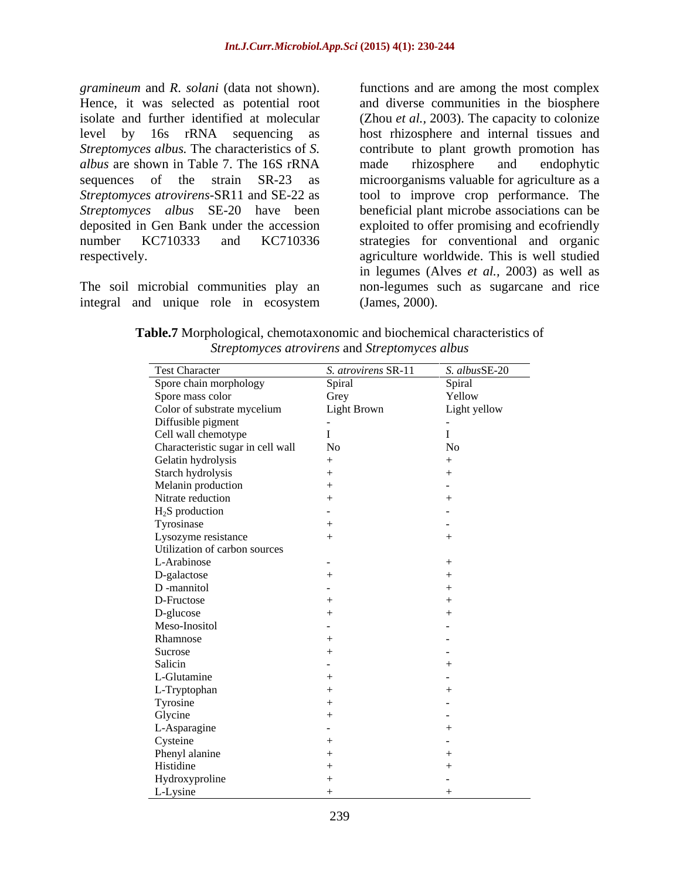*gramineum* and *R. solani* (data not shown). functions and are among the most complex Hence, it was selected as potential root and diverse communities in the biosphere isolate and further identified at molecular (Zhou *et al.,* 2003). The capacity to colonize level by 16s rRNA sequencing as host rhizosphere and internal tissues and *Streptomyces albus.* The characteristics of *S.*  contribute to plant growth promotion has *albus* are shown in Table 7. The 16S rRNA sequences of the strain SR-23 as microorganisms valuable for agriculture as a *Streptomyces atrovirens*-SR11 and SE-22 as tool to improve crop performance. The *Streptomyces albus* SE-20 have been beneficial plant microbe associations can be deposited in Gen Bank under the accession exploited to offer promising and ecofriendly number KC710333 and KC710336 strategies for conventional and organic respectively. agriculture worldwide. This is well studied

integral and unique role in ecosystem

The soil microbial communities play an non-legumes such as sugarcane and rice made rhizosphere and endophytic in legumes (Alves *et al.,* 2003) as well as (James, 2000).

**Table.7** Morphological, chemotaxonomic and biochemical characteristics of *Streptomyces atrovirens* and *Streptomyces albus*

| <b>Test Character</b>             | S. atrovirens SR-11 | S. albusSE-20 |
|-----------------------------------|---------------------|---------------|
| Spore chain morphology            | Spiral              | Spiral        |
| Spore mass color                  | Grey                | Yellow        |
| Color of substrate mycelium       | Light Brown         | Light yellow  |
| Diffusible pigment                |                     | $\sim$ $-$    |
| Cell wall chemotype               |                     |               |
| Characteristic sugar in cell wall | No                  | No            |
| Gelatin hydrolysis                | $+$                 |               |
| Starch hydrolysis                 |                     |               |
| Melanin production                |                     |               |
| Nitrate reduction                 |                     |               |
| $H_2S$ production                 |                     |               |
| Tyrosinase                        |                     |               |
| Lysozyme resistance               |                     |               |
| Utilization of carbon sources     |                     |               |
| L-Arabinose                       |                     |               |
| D-galactose                       |                     |               |
| D-mannitol                        |                     |               |
| D-Fructose                        |                     |               |
| D-glucose                         |                     |               |
| Meso-Inositol                     |                     |               |
| Rhamnose                          |                     |               |
| Sucrose                           |                     |               |
| Salicin                           |                     |               |
| L-Glutamine                       |                     |               |
| L-Tryptophan                      |                     |               |
| Tyrosine                          |                     |               |
| Glycine                           |                     |               |
| L-Asparagine                      |                     |               |
| Cysteine                          |                     |               |
| Phenyl alanine                    |                     |               |
| Histidine                         |                     |               |
| Hydroxyproline                    |                     |               |
| L-Lysine                          |                     |               |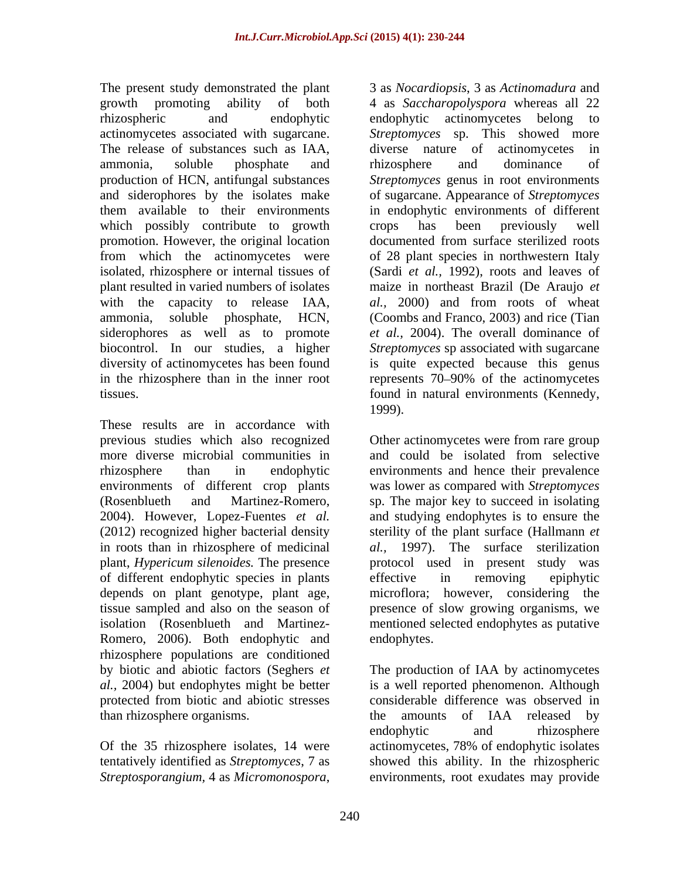The release of substances such as IAA, diverse nature of actinomycetes in which possibly contribute to growth crops has been previously well promotion. However, the original location siderophores as well as to promote

These results are in accordance with previous studies which also recognized Other actinomycetes were from rare group more diverse microbial communities in and could be isolated from selective rhizosphere than in endophytic environments and hence their prevalence environments of different crop plants was lower as compared with *Streptomyces*  (Rosenblueth and Martinez-Romero, sp. The major key to succeed in isolating 2004). However, Lopez-Fuentes *et al.* (2012) recognized higher bacterial density sterility of the plant surface (Hallmann *et*  in roots than in rhizosphere of medicinal *al.,* 1997). The surface sterilization plant, *Hypericum silenoides.* The presence protocol used in present study was of different endophytic species in plants depends on plant genotype, plant age, microflora; however, considering the tissue sampled and also on the season of presence of slow growing organisms, we isolation (Rosenblueth and Martinez- mentioned selected endophytes as putative Romero, 2006). Both endophytic and endophytes. rhizosphere populations are conditioned by biotic and abiotic factors (Seghers *et*  The production ofIAA by actinomycetes *al.,* 2004) but endophytes might be better is a well reported phenomenon. Although protected from biotic and abiotic stresses than rhizosphere organisms. The amounts of IAA released by

*Streptosporangium,* 4 as *Micromonospora*, environments, root exudates may provide

The present study demonstrated the plant 3 as *Nocardiopsis*, 3 as *Actinomadura* and growth promoting ability of both 4 as *Saccharopolyspora* whereas all 22 rhizospheric and endophytic endophytic actinomycetes belong to actinomycetes associated with sugarcane. *Streptomyces* sp. This showed more ammonia, soluble phosphate and production of HCN, antifungal substances *Streptomyces* genus in root environments and siderophores by the isolates make of sugarcane. Appearance of *Streptomyces*  them available to their environments in endophytic environments of different from which the actinomycetes were of 28 plant species in northwestern Italy isolated, rhizosphere or internal tissues of (Sardi *et al.,* 1992), roots and leaves of plant resulted in varied numbers of isolates maize in northeast Brazil (De Araujo *et*  with the capacity to release IAA, *al.,* 2000) and from roots of wheat ammonia, soluble phosphate, HCN, (Coombs and Franco, 2003) and rice (Tian biocontrol. In our studies, a higher *Streptomyces* sp associated with sugarcane diversity of actinomycetes has been found is quite expected because this genus in the rhizosphere than in the inner root represents 70–90% of the actinomycetes tissues. found in natural environments (Kennedy, endophytic actinomycetes belong to diverse nature of actinomycetes rhizosphere and dominance of crops has been previously well documented from surface sterilized roots *et al.,* 2004). The overall dominance of 1999).

> and could be isolated from selective and studying endophytes is to ensure the effective in removing epiphytic endophytes.

Of the 35 rhizosphere isolates, 14 were actinomycetes, 78% of endophytic isolates tentatively identified as *Streptomyces*, 7 as showed this ability. In the rhizospheric considerable difference was observed in the amounts of IAA released by endophytic and rhizosphere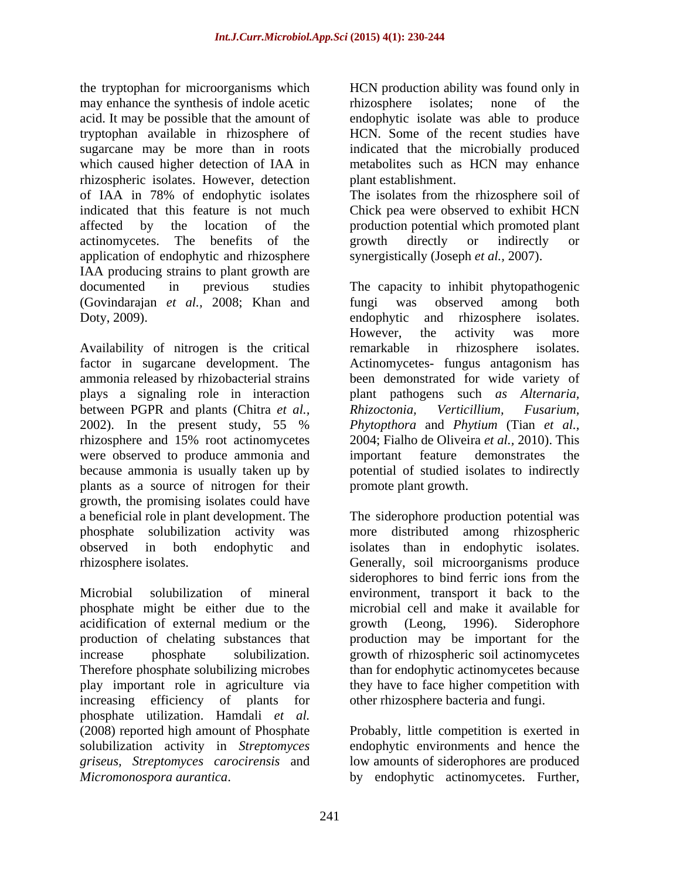the tryptophan for microorganisms which HCN production ability was found only in may enhance the synthesis of indole acetic rhizosphere isolates; none of the acid. It may be possible that the amount of endophytic isolate was able to produce tryptophan available in rhizosphere of HCN. Some of the recent studies have sugarcane may be more than in roots indicated that the microbially produced which caused higher detection of IAA in metabolites such as HCN may enhance rhizospheric isolates. However, detection of IAA in 78% of endophytic isolates The isolates from the rhizosphere soil of indicated that this feature is not much Chick pea were observed to exhibit HCN affected by the location of the production potential which promoted plant actinomycetes. The benefits of the growth directly or indirectly or application of endophytic and rhizosphere IAA producing strains to plant growth are documented in previous studies The capacity to inhibit phytopathogenic (Govindarajan *et al.,* 2008; Khan and Doty, 2009). endophytic and rhizosphere isolates. the type<br>polynom for microsoporations which the HCN production ability was found only in<br>each the my ensure the systems of the systems controller in the system<br>of the production and the systems and the systems which is the

Availability of nitrogen is the critical remarkable in rhizosphere isolates. factor in sugarcane development. The ammonia released by rhizobacterial strains been demonstrated for wide variety of plays a signaling role in interaction plant pathogens such *as Alternaria,* between PGPR and plants (Chitra *et al.,* 2002). In the present study, 55 % rhizosphere and 15% root actinomycetes 2004; Fialho de Oliveira *et al.*, 2010). This were observed to produce ammonia and important feature demonstrates the because ammonia is usually taken up by potential of studied isolates to indirectly plants as a source of nitrogen for their growth, the promising isolates could have a beneficial role in plant development. The The siderophore production potential was phosphate solubilization activity was more distributed among rhizospheric observed in both endophytic and isolates than in endophytic isolates.

Microbial solubilization of mineral environment, transport it back to the phosphate might be either due to the acidification of external medium or the sprowth (Leong, 1996). Siderophore production of chelating substances that production may be important for the increase phosphate solubilization. growth of rhizospheric soil actinomycetes Therefore phosphate solubilizing microbes than for endophytic actinomycetes because play important role in agriculture via they have to face higher competition with increasing efficiency of plants for phosphate utilization. Hamdali *et al.* (2008) reported high amount of Phosphate solubilization activity in *Streptomyces*  endophytic environments and hence the *griseus, Streptomyces carocirensis* and

rhizosphere isolates; none of the plant establishment.

growth directly or indirectly or synergistically (Joseph *et al.,* 2007).

fungi was observed among both endophytic and rhizosphere isolates. However, the activity was more remarkable in rhizosphere isolates. Actinomycetes- fungus antagonism has *Rhizoctonia, Verticillium, Fusarium, Phytopthora* and *Phytium* (Tian *et al.,* 2004; Fialho de Oliveira *et al.,* 2010). This important feature demonstrates promote plant growth.

rhizosphere isolates. Generally, soil microorganisms produce siderophores to bind ferric ions from the microbial cell and make it available for growth (Leong, 1996). Siderophore other rhizosphere bacteria and fungi.

> Probably, little competition is exerted in low amounts of siderophores are produced by endophytic actinomycetes. Further,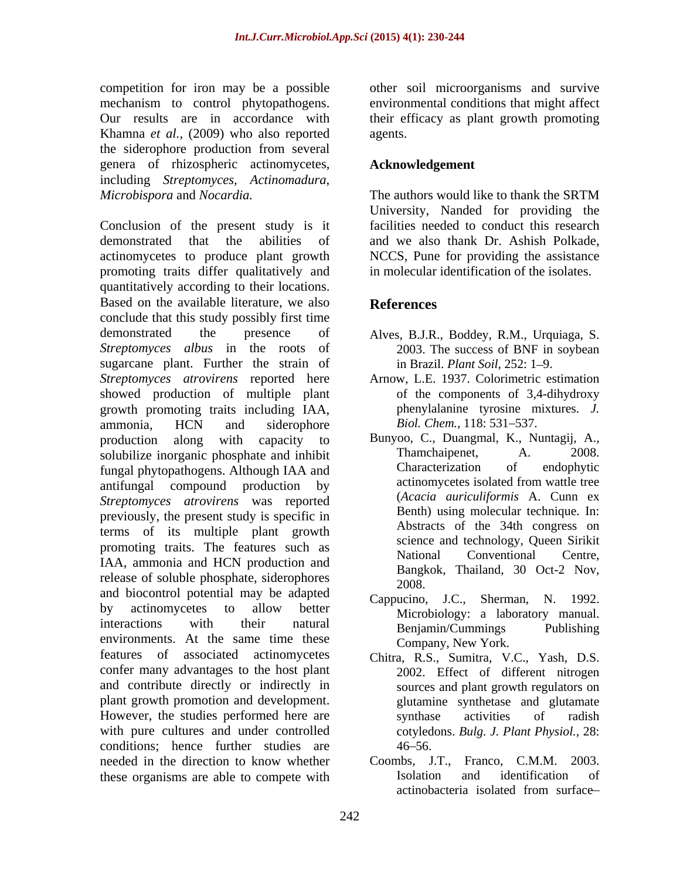competition for iron may be a possible mechanism to control phytopathogens. environmental conditions that might affect Our results are in accordance with their efficacy as plant growth promoting Khamna *et al.,* (2009) who also reported the siderophore production from several genera of rhizospheric actinomycetes, including *Streptomyces, Actinomadura,*

Conclusion of the present study is it demonstrated that the abilities of and we also thank Dr. Ashish Polkade, actinomycetes to produce plant growth NCCS, Pune for providing the assistance promoting traits differ qualitatively and quantitatively according to their locations. Based on the available literature, we also **References** conclude that this study possibly first time demonstrated the presence of Alves, B.J.R., Boddey, R.M., Urquiaga, S. *Streptomyces albus* in the roots of sugarcane plant. Further the strain of in Brazil. Plant Soil, 252: 1–9. *Streptomyces atrovirens* reported here showed production of multiple plant growth promoting traits including IAA, being phenylalanine tyrosine m<br>ammonia HCN and siderophore Biol. Chem. 118:531–537. ammonia, HCN and siderophore *Biol. Chem.*, 118: 531–537. production along with capacity to Bunyoo, C., Duangmal, K., Nuntagij, A., solubilize inorganic phosphate and inhibit Thamchaipenet, A. 2008. solubilize inorganic phosphate and inhibit Thamchaipenet, A. 2008.<br>
Characterization of endophytic Characterization of endophytic fungal phytopathogens. Although IAA and<br>antifinition and the compound production by the actinomycetes isolated from wattle tree antifungal compound production by *Streptomyces atrovirens* was reported previously, the present study is specific in terms of its multiple plant growth promoting traits. The features such as sevence and economic such a several conventional conventional Centre, IAA, ammonia and HCN production and<br>Bangkok, Thailand, 30 Oct-2 Nov, release of soluble phosphate, siderophores  $\frac{\text{bang}}{2008}$ and biocontrol potential may be adapted by actinomycetes to allow better  $\frac{f(x)}{f(x)}$  between  $\frac{f(x)}{f(x)}$  a laboratory manual interactions with their natural Benjamin/Cummings Publishing interactions with their natural Benjamin/Cummings Publishing<br>environments. At the same time these Company New York features of associated actinomycetes Chitra, R.S., Sumitra, V.C., Yash, D.S. confer many advantages to the host plant 2002. Effect of different nitrogen and contribute directly or indirectly in plant growth promotion and development. However, the studies performed here are synthase activities of radish with pure cultures and under controlled cotyledons. *Bulg. J. Plant Physiol.,* 28: conditions; hence further studies are  $46-56$ . needed in the direction to know whether Coombs, J.T., Franco, C.M.M. 2003.

other soil microorganisms and survive agents.

#### **Acknowledgement**

*Microbispora* and *Nocardia.* The authors would like to thank the SRTM University, Nanded for providing the facilities needed to conduct this research in molecular identification of the isolates.

### **References**

- 2003. The success of BNF in soybean in Brazil. *Plant Soil*, 252: 1–9.
- Arnow, L.E. 1937. Colorimetric estimation of the components of 3,4-dihydroxy phenylalanine tyrosine mixtures. *J. Biol. Chem.,* 118: 531–537.
- Bunyoo, C., Duangmal, K., Nuntagij, A., Thamchaipenet, A. 2008. Characterization of endophytic actinomycetes isolated from wattle tree (*Acacia auriculiformis* A. Cunn ex Benth) using molecular technique. In: Abstracts of the 34th congress on science and technology, Queen Sirikit National Conventional Centre,<br>Bangkok, Thailand, 30 Oct-2 Nov, 2008.
- Cappucino, J.C., Sherman, N. 1992. Microbiology: a laboratory manual. Benjamin/Cummings Publishing Company, New York.
- Chitra, R.S., Sumitra, V.C., Yash, D.S. 2002. Effect of different nitrogen sources and plant growth regulators on glutamine synthetase and glutamate synthase activities of radish  $46 - 56.$
- these organisms are able to compete with<br>actinobacteria isolated from surface-Coombs, J.T., Franco, C.M.M. 2003. Isolation and identification of actinobacteria isolated from surface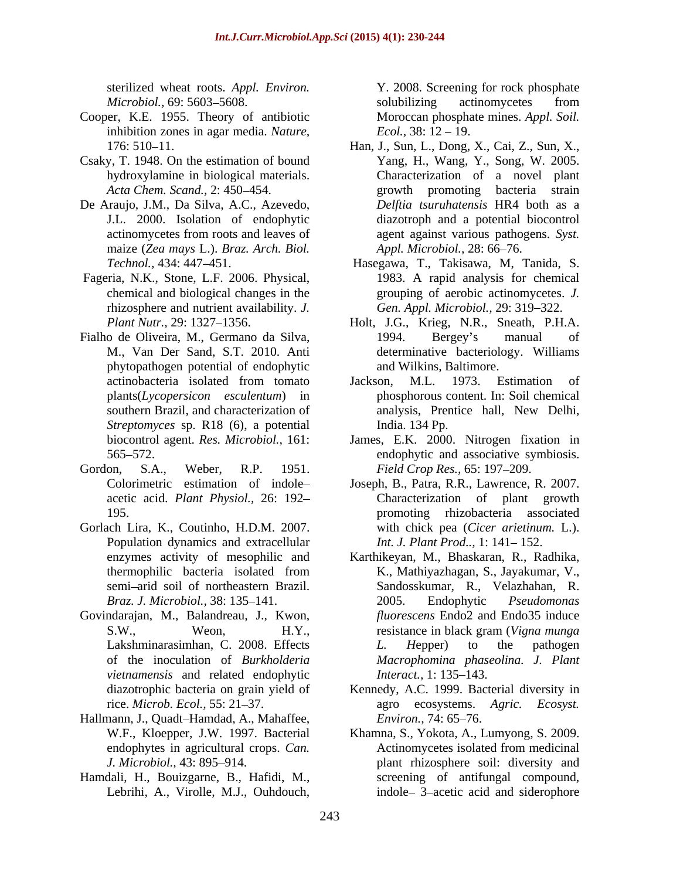sterilized wheat roots. *Appl. Environ.*

- Cooper, K.E. 1955. Theory of antibiotic inhibition zones in agar media. *Nature,*
- Csaky, T. 1948. On the estimation of bound
- De Araujo, J.M., Da Silva, A.C., Azevedo, maize (*Zea mays* L.). *Braz. Arch. Biol.*
- Fageria, N.K., Stone, L.F. 2006. Physical,
- Fialho de Oliveira, M., Germano da Silva, phytopathogen potential of endophytic *Streptomyces* sp. R18 (6), a potential
- Gordon, S.A., Weber, R.P. 1951. *Field Crop Res.*, 65: 197–209.
- Gorlach Lira, K., Coutinho, H.D.M. 2007. Population dynamics and extracellular
- Govindarajan, M., Balandreau, J., Kwon, *vietnamensis* and related endophytic *Interact.*, 1: 135–143.
- Hallmann, J., Quadt-Hamdad, A., Mahaffee, *Environ.*, 74: 65–76.
- Hamdali, H., Bouizgarne, B., Hafidi, M.,

*Microbiol.,* 69: 5603–5608. solubilizing actinomycetes from solubilizing actinomycetes from Moroccan phosphate mines. *Appl. Soil. Ecol.*, 38: 12 – 19.

- 176: 510 11. Han, J., Sun, L., Dong, X., Cai, Z., Sun, X., hydroxylamine in biological materials. Characterization of a novel plant *Acta Chem. Scand.,* 2: 450–454. *Property Property Property Property Property* **<b>***Property Property Property Property Property Property Property Property Property Proper* J.L. 2000. Isolation of endophytic diazotroph and a potential biocontrol actinomycetes from roots and leaves of agent against various pathogens. Syst. Yang, H., Wang, Y., Song, W. 2005. growth promoting bacteria strain *Delftia tsuruhatensis* HR4 both as a agent against various pathogens. *Syst. Appl. Microbiol., 28: 66–76.*
- *Technol.,* 434: 447 451. Hasegawa, T., Takisawa, M, Tanida, S. chemical and biological changes in the grouping of aerobic actinomycetes. *J.*  rhizosphere and nutrient availability. *J.* Gen. Appl. Microbiol., 29: 319–322. 1983. A rapid analysis for chemical
- *Plant Nutr.,* 29: 1327 1356. Holt, J.G., Krieg, N.R., Sneath, P.H.A. M., Van Der Sand, S.T. 2010. Anti determinative bacteriology. Williams 1994. Bergey's manual of and Wilkins, Baltimore.
- actinobacteria isolated from tomato Jackson, M.L. 1973. Estimation of plants(*Lycopersicon esculentum*) in phosphorous content. In: Soil chemical southern Brazil, and characterization of analysis, Prentice hall, New Delhi, Jackson, M.L. 1973. Estimation of analysis, Prentice hall, New Delhi, India. 134 Pp.
- biocontrol agent. *Res. Microbiol.,* 161: James, E.K. 2000. Nitrogen fixation in 565 572. endophytic and associative symbiosis.
- Colorimetric estimation of indole Joseph, B., Patra, R.R., Lawrence, R. 2007. acetic acid. *Plant Physiol.,* 26: 192 Characterization of plant growth 195. promoting rhizobacteria associated with chick pea (*Cicer arietinum.* L.). *Int. J. Plant Prod..,* 1: 141–152.
- enzymes activity of mesophilic and Karthikeyan, M., Bhaskaran, R., Radhika, thermophilic bacteria isolated from K., Mathiyazhagan, S., Jayakumar, V., semi arid soil of northeastern Brazil. Sandosskumar, R., Velazhahan, R. *Braz. J. Microbiol.,* 38: 135–141. 2005. Endophytic *Pseudomonas* S.W., Weon, H.Y., resistance in black gram (*Vigna munga*) Lakshminarasimhan, C. 2008. Effects L. Hepper) to the pathogen of the inoculation of *Burkholderia Macrophomina phaseolina. J. Plant* Screening for excelses and the matter of the state of the state of the state of the state of the state of the state of the state of the state of the state of the state of the state of the state of the state of the state of K., Mathiyazhagan, S., Jayakumar, V., 2005. Endophytic *Pseudomonas fluorescens* Endo2 and Endo35 induce resistance in black gram (*Vigna munga L. H*epper) to the pathogen *Interact.,* 1: 135–143.
- diazotrophic bacteria on grain yield of Kennedy, A.C. 1999. Bacterial diversity in rice. *Microb. Ecol.,* 55: 21 37. agro ecosystems. *Agric. Ecosyst. Environ., 74: 65–76.*
- W.F., Kloepper, J.W. 1997. Bacterial Khamna, S., Yokota, A., Lumyong, S. 2009. endophytes in agricultural crops. *Can. J. Microbiol.*, 43: 895–914. https://www.plant rhizosphere soil: diversity and Actinomycetes isolated from medicinal screening of antifungal compound, indole-3-acetic acid and siderophore